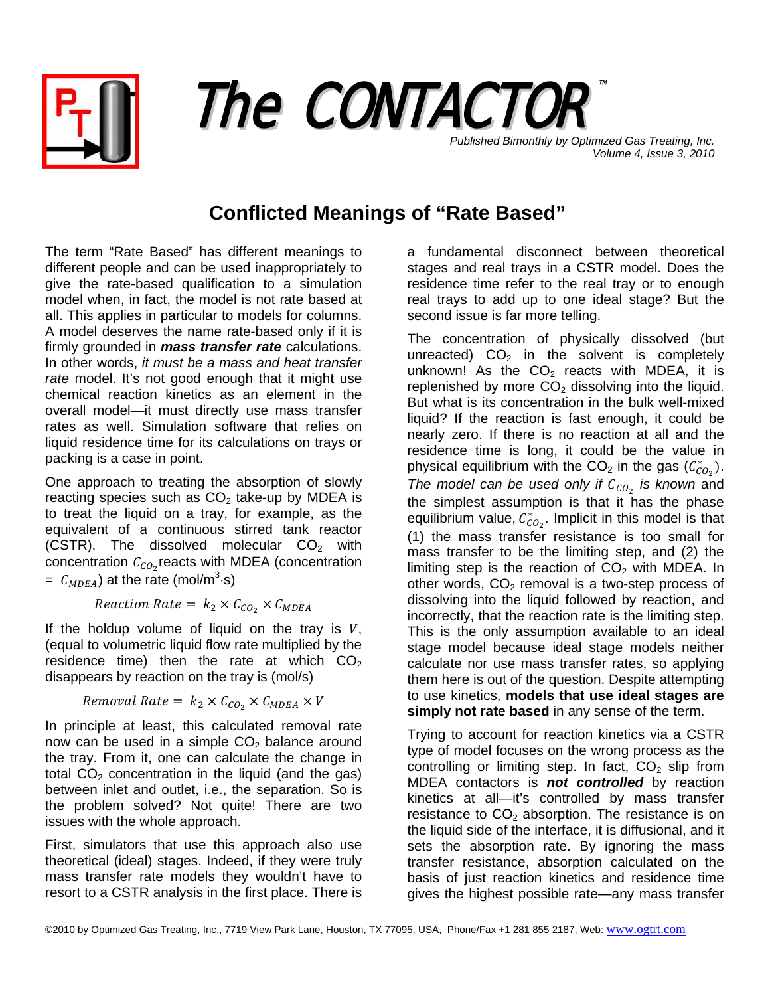



*Published Bimonthly by Optimized Gas Treating, Inc. Volume 4, Issue 3, 2010*

# **Conflicted Meanings of "Rate Based"**

The term "Rate Based" has different meanings to different people and can be used inappropriately to give the rate-based qualification to a simulation model when, in fact, the model is not rate based at all. This applies in particular to models for columns. A model deserves the name rate-based only if it is firmly grounded in *mass transfer rate* calculations. In other words, *it must be a mass and heat transfer rate* model. It's not good enough that it might use chemical reaction kinetics as an element in the overall model—it must directly use mass transfer rates as well. Simulation software that relies on liquid residence time for its calculations on trays or packing is a case in point.

One approach to treating the absorption of slowly reacting species such as  $CO<sub>2</sub>$  take-up by MDEA is to treat the liquid on a tray, for example, as the equivalent of a continuous stirred tank reactor (CSTR). The dissolved molecular  $CO<sub>2</sub>$  with concentration  $\mathcal{C}_{CO_2}$ reacts with MDEA (concentration  $= C_{MDEA}$ ) at the rate (mol/m<sup>3</sup>·s)

Reaction Rate =  $k_2 \times C_{CO_2} \times C_{MDEA}$ 

If the holdup volume of liquid on the tray is  $V$ , (equal to volumetric liquid flow rate multiplied by the residence time) then the rate at which  $CO<sub>2</sub>$ disappears by reaction on the tray is (mol/s)

Removal Rate =  $k_2 \times C_{CO_2} \times C_{MDEA} \times V$ 

In principle at least, this calculated removal rate now can be used in a simple  $CO<sub>2</sub>$  balance around the tray. From it, one can calculate the change in total  $CO<sub>2</sub>$  concentration in the liquid (and the gas) between inlet and outlet, i.e., the separation. So is the problem solved? Not quite! There are two issues with the whole approach.

First, simulators that use this approach also use theoretical (ideal) stages. Indeed, if they were truly mass transfer rate models they wouldn't have to resort to a CSTR analysis in the first place. There is a fundamental disconnect between theoretical stages and real trays in a CSTR model. Does the residence time refer to the real tray or to enough real trays to add up to one ideal stage? But the second issue is far more telling.

The concentration of physically dissolved (but unreacted)  $CO<sub>2</sub>$  in the solvent is completely unknown! As the  $CO<sub>2</sub>$  reacts with MDEA, it is replenished by more  $CO<sub>2</sub>$  dissolving into the liquid. But what is its concentration in the bulk well-mixed liquid? If the reaction is fast enough, it could be nearly zero. If there is no reaction at all and the residence time is long, it could be the value in physical equilibrium with the CO<sub>2</sub> in the gas  $(\mathcal{C}_{CO_2}^*)$ . *The model can be used only if*  $C_{CO_2}$  *is known* and the simplest assumption is that it has the phase equilibrium value,  $\mathcal{C}^*_{CO_2}$ . Implicit in this model is that (1) the mass transfer resistance is too small for mass transfer to be the limiting step, and (2) the limiting step is the reaction of  $CO<sub>2</sub>$  with MDEA. In other words,  $CO<sub>2</sub>$  removal is a two-step process of dissolving into the liquid followed by reaction, and incorrectly, that the reaction rate is the limiting step. This is the only assumption available to an ideal stage model because ideal stage models neither calculate nor use mass transfer rates, so applying them here is out of the question. Despite attempting to use kinetics, **models that use ideal stages are simply not rate based** in any sense of the term.

Trying to account for reaction kinetics via a CSTR type of model focuses on the wrong process as the controlling or limiting step. In fact,  $CO<sub>2</sub>$  slip from MDEA contactors is *not controlled* by reaction kinetics at all—it's controlled by mass transfer resistance to  $CO<sub>2</sub>$  absorption. The resistance is on the liquid side of the interface, it is diffusional, and it sets the absorption rate. By ignoring the mass transfer resistance, absorption calculated on the basis of just reaction kinetics and residence time gives the highest possible rate—any mass transfer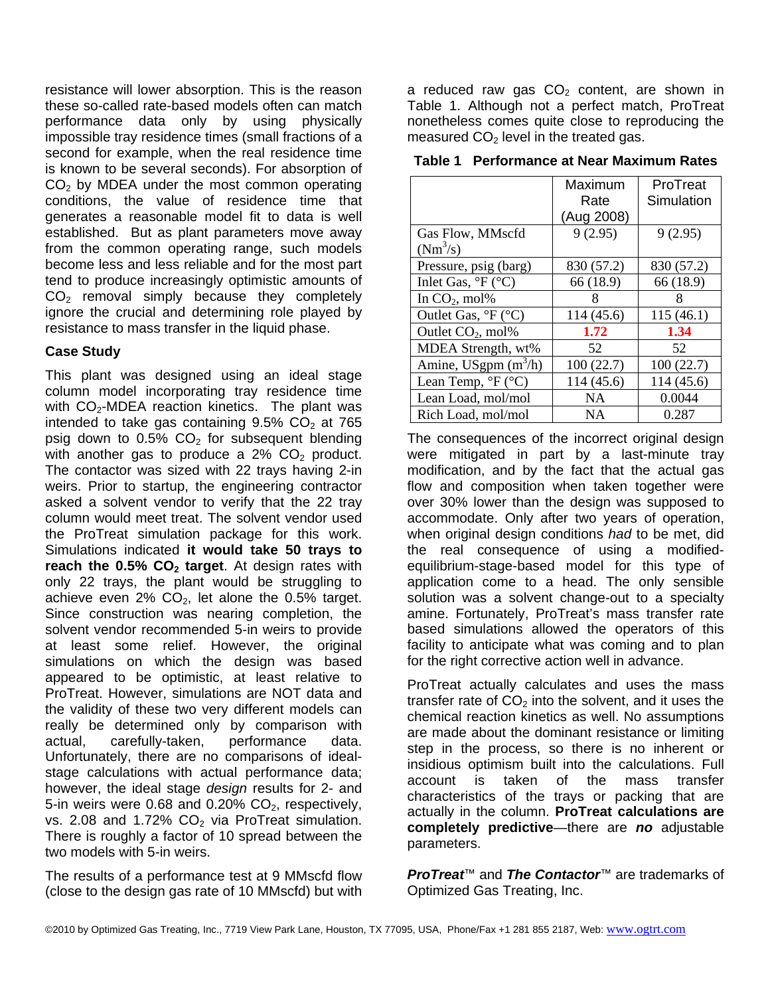resistance will lower absorption. This is the reason these so-called rate-based models often can match performance data only by using physically impossible tray residence times (small fractions of a second for example, when the real residence time is known to be several seconds). For absorption of  $CO<sub>2</sub>$  by MDEA under the most common operating conditions, the value of residence time that generates a reasonable model fit to data is well established. But as plant parameters move away from the common operating range, such models become less and less reliable and for the most part tend to produce increasingly optimistic amounts of  $CO<sub>2</sub>$  removal simply because they completely ignore the crucial and determining role played by resistance to mass transfer in the liquid phase.

# **Case Study**

This plant was designed using an ideal stage column model incorporating tray residence time with  $CO<sub>2</sub>$ -MDEA reaction kinetics. The plant was intended to take gas containing  $9.5\%$  CO<sub>2</sub> at  $765$ psig down to  $0.5\%$  CO<sub>2</sub> for subsequent blending with another gas to produce a  $2\%$  CO<sub>2</sub> product. The contactor was sized with 22 trays having 2-in weirs. Prior to startup, the engineering contractor asked a solvent vendor to verify that the 22 tray column would meet treat. The solvent vendor used the ProTreat simulation package for this work. Simulations indicated **it would take 50 trays to reach the 0.5% CO<sub>2</sub> target**. At design rates with only 22 trays, the plant would be struggling to achieve even  $2\%$  CO<sub>2</sub>, let alone the 0.5% target. Since construction was nearing completion, the solvent vendor recommended 5-in weirs to provide at least some relief. However, the original simulations on which the design was based appeared to be optimistic, at least relative to ProTreat. However, simulations are NOT data and the validity of these two very different models can really be determined only by comparison with actual, carefully-taken, performance data. Unfortunately, there are no comparisons of idealstage calculations with actual performance data; however, the ideal stage *design* results for 2- and 5-in weirs were 0.68 and 0.20%  $CO<sub>2</sub>$ , respectively, vs. 2.08 and 1.72%  $CO<sub>2</sub>$  via ProTreat simulation. There is roughly a factor of 10 spread between the two models with 5-in weirs.

The results of a performance test at 9 MMscfd flow (close to the design gas rate of 10 MMscfd) but with

a reduced raw gas  $CO<sub>2</sub>$  content, are shown in Table 1. Although not a perfect match, ProTreat nonetheless comes quite close to reproducing the measured  $CO<sub>2</sub>$  level in the treated gas.

|                                             | Maximum    | ProTreat   |
|---------------------------------------------|------------|------------|
|                                             | Rate       | Simulation |
|                                             | (Aug 2008) |            |
| Gas Flow, MMscfd                            | 9(2.95)    | 9(2.95)    |
| $(Nm^3/s)$                                  |            |            |
| Pressure, psig (barg)                       | 830 (57.2) | 830 (57.2) |
| Inlet Gas, ${}^{\circ}F$ ( ${}^{\circ}C$ )  | 66 (18.9)  | 66 (18.9)  |
| In $CO2$ , mol%                             | 8          | 8          |
| Outlet Gas, ${}^{\circ}F$ ( ${}^{\circ}C$ ) | 114 (45.6) | 115(46.1)  |
| Outlet CO <sub>2</sub> , mol%               | 1.72       | 1.34       |
| MDEA Strength, wt%                          | 52         | 52         |
| Amine, USgpm $(m^3/h)$                      | 100(22.7)  | 100(22.7)  |
| Lean Temp, ${}^{\circ}F$ ( ${}^{\circ}C$ )  | 114 (45.6) | 114 (45.6) |
| Lean Load, mol/mol                          | <b>NA</b>  | 0.0044     |
| Rich Load, mol/mol                          | <b>NA</b>  | 0.287      |

**Table 1 Performance at Near Maximum Rates** 

The consequences of the incorrect original design were mitigated in part by a last-minute tray modification, and by the fact that the actual gas flow and composition when taken together were over 30% lower than the design was supposed to accommodate. Only after two years of operation, when original design conditions *had* to be met, did the real consequence of using a modifiedequilibrium-stage-based model for this type of application come to a head. The only sensible solution was a solvent change-out to a specialty amine. Fortunately, ProTreat's mass transfer rate based simulations allowed the operators of this facility to anticipate what was coming and to plan for the right corrective action well in advance.

ProTreat actually calculates and uses the mass transfer rate of  $CO<sub>2</sub>$  into the solvent, and it uses the chemical reaction kinetics as well. No assumptions are made about the dominant resistance or limiting step in the process, so there is no inherent or insidious optimism built into the calculations. Full account is taken of the mass transfer characteristics of the trays or packing that are actually in the column. **ProTreat calculations are completely predictive**—there are *no* adjustable parameters.

*ProTreat*™ and *The Contactor*™ are trademarks of Optimized Gas Treating, Inc.